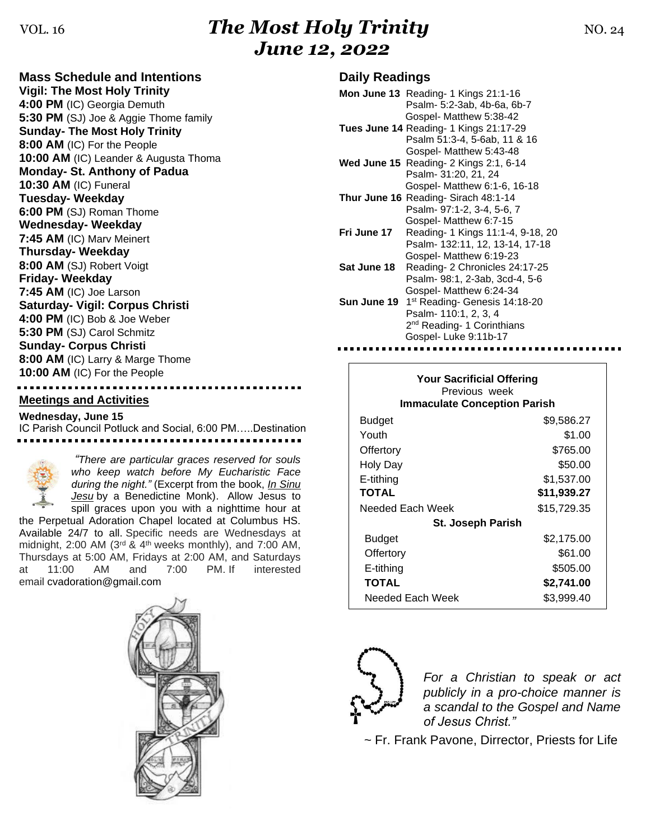# VOL. 16*The Most Holy Trinity* NO. 24 *June 12, 2022*

## **Mass Schedule and Intentions**

**Vigil: The Most Holy Trinity 4:00 PM** (IC) Georgia Demuth **5:30 PM** (SJ) Joe & Aggie Thome family **Sunday- The Most Holy Trinity 8:00 AM** (IC) For the People **10:00 AM** (IC) Leander & Augusta Thoma **Monday- St. Anthony of Padua 10:30 AM** (IC) Funeral **Tuesday- Weekday 6:00 PM** (SJ) Roman Thome **Wednesday- Weekday 7:45 AM** (IC) Marv Meinert **Thursday- Weekday 8:00 AM** (SJ) Robert Voigt **Friday- Weekday 7:45 AM** (IC) Joe Larson **Saturday- Vigil: Corpus Christi 4:00 PM** (IC) Bob & Joe Weber **5:30 PM** (SJ) Carol Schmitz **Sunday- Corpus Christi 8:00 AM** (IC) Larry & Marge Thome **10:00 AM** (IC) For the People

### **Meetings and Activities**

**Wednesday, June 15** IC Parish Council Potluck and Social, 6:00 PM…..Destination



*"There are particular graces reserved for souls who keep watch before My Eucharistic Face during the night."* (Excerpt from the book, *In Sinu Jesu* by a Benedictine Monk). Allow Jesus to spill graces upon you with a nighttime hour at

the Perpetual Adoration Chapel located at Columbus HS. Available 24/7 to all. Specific needs are Wednesdays at midnight,  $2:00$  AM ( $3<sup>rd</sup>$  &  $4<sup>th</sup>$  weeks monthly), and  $7:00$  AM, Thursdays at 5:00 AM, Fridays at 2:00 AM, and Saturdays at 11:00 AM and 7:00 PM. If interested email [cvadoration@gmail.com](mailto:cvadoration@gmail.com)



#### **Daily Readings**

|             | Mon June 13 Reading- 1 Kings 21:1-16              |
|-------------|---------------------------------------------------|
|             | Psalm- 5:2-3ab, 4b-6a, 6b-7                       |
|             | Gospel- Matthew 5:38-42                           |
|             | Tues June 14 Reading- 1 Kings 21:17-29            |
|             | Psalm 51:3-4, 5-6ab, 11 & 16                      |
|             | Gospel- Matthew 5:43-48                           |
|             | <b>Wed June 15</b> Reading $-2$ Kings $2:1, 6-14$ |
|             | Psalm- 31:20, 21, 24                              |
|             | Gospel- Matthew 6:1-6, 16-18                      |
|             | <b>Thur June 16 Reading- Sirach 48:1-14</b>       |
|             | Psalm- 97:1-2, 3-4, 5-6, 7                        |
|             | Gospel- Matthew 6:7-15                            |
| Fri June 17 | Reading- 1 Kings 11:1-4, 9-18, 20                 |
|             | Psalm- 132:11, 12, 13-14, 17-18                   |
|             | Gospel- Matthew 6:19-23                           |
| Sat June 18 | Reading-2 Chronicles 24:17-25                     |
|             | Psalm- 98:1, 2-3ab, 3cd-4, 5-6                    |
|             | Gospel- Matthew 6:24-34                           |
| Sun June 19 | 1 <sup>st</sup> Reading- Genesis 14:18-20         |
|             | Psalm- 110:1, 2, 3, 4                             |
|             | 2 <sup>nd</sup> Reading- 1 Corinthians            |
|             | Gospel-Luke 9:11b-17                              |

| <b>Your Sacrificial Offering</b><br>Previous week<br><b>Immaculate Conception Parish</b> |             |  |  |
|------------------------------------------------------------------------------------------|-------------|--|--|
| Budget                                                                                   | \$9,586.27  |  |  |
| Youth                                                                                    | \$1.00      |  |  |
| Offertory                                                                                | \$765.00    |  |  |
| Holy Day                                                                                 | \$50.00     |  |  |
| E-tithing                                                                                | \$1,537.00  |  |  |
| <b>TOTAL</b>                                                                             | \$11,939.27 |  |  |
| Needed Each Week                                                                         | \$15,729.35 |  |  |
| <b>St. Joseph Parish</b>                                                                 |             |  |  |
| Budget                                                                                   | \$2,175.00  |  |  |
| Offertory                                                                                | \$61.00     |  |  |
| E-tithing                                                                                | \$505.00    |  |  |
| <b>TOTAL</b>                                                                             | \$2,741.00  |  |  |
| Needed Each Week                                                                         | \$3,999.40  |  |  |



*For a Christian to speak or act publicly in a pro-choice manner is a scandal to the Gospel and Name of Jesus Christ."*

 *~* Fr. Frank Pavone, Dirrector, Priests for Life